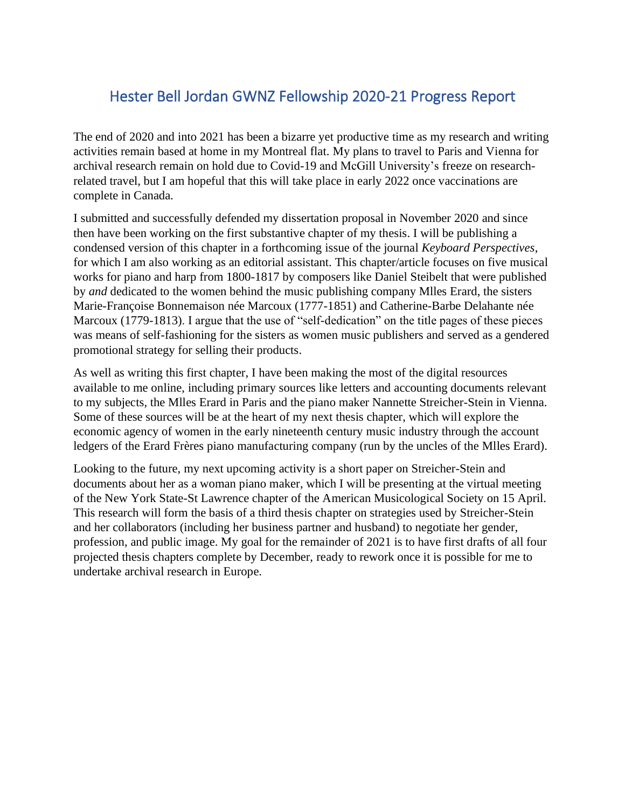## Hester Bell Jordan GWNZ Fellowship 2020-21 Progress Report

The end of 2020 and into 2021 has been a bizarre yet productive time as my research and writing activities remain based at home in my Montreal flat. My plans to travel to Paris and Vienna for archival research remain on hold due to Covid-19 and McGill University's freeze on researchrelated travel, but I am hopeful that this will take place in early 2022 once vaccinations are complete in Canada.

I submitted and successfully defended my dissertation proposal in November 2020 and since then have been working on the first substantive chapter of my thesis. I will be publishing a condensed version of this chapter in a forthcoming issue of the journal *Keyboard Perspectives*, for which I am also working as an editorial assistant. This chapter/article focuses on five musical works for piano and harp from 1800-1817 by composers like Daniel Steibelt that were published by *and* dedicated to the women behind the music publishing company Mlles Erard, the sisters Marie-Françoise Bonnemaison née Marcoux (1777-1851) and Catherine-Barbe Delahante née Marcoux (1779-1813). I argue that the use of "self-dedication" on the title pages of these pieces was means of self-fashioning for the sisters as women music publishers and served as a gendered promotional strategy for selling their products.

As well as writing this first chapter, I have been making the most of the digital resources available to me online, including primary sources like letters and accounting documents relevant to my subjects, the Mlles Erard in Paris and the piano maker Nannette Streicher-Stein in Vienna. Some of these sources will be at the heart of my next thesis chapter, which will explore the economic agency of women in the early nineteenth century music industry through the account ledgers of the Erard Frères piano manufacturing company (run by the uncles of the Mlles Erard).

Looking to the future, my next upcoming activity is a short paper on Streicher-Stein and documents about her as a woman piano maker, which I will be presenting at the virtual meeting of the New York State-St Lawrence chapter of the American Musicological Society on 15 April. This research will form the basis of a third thesis chapter on strategies used by Streicher-Stein and her collaborators (including her business partner and husband) to negotiate her gender, profession, and public image. My goal for the remainder of 2021 is to have first drafts of all four projected thesis chapters complete by December, ready to rework once it is possible for me to undertake archival research in Europe.